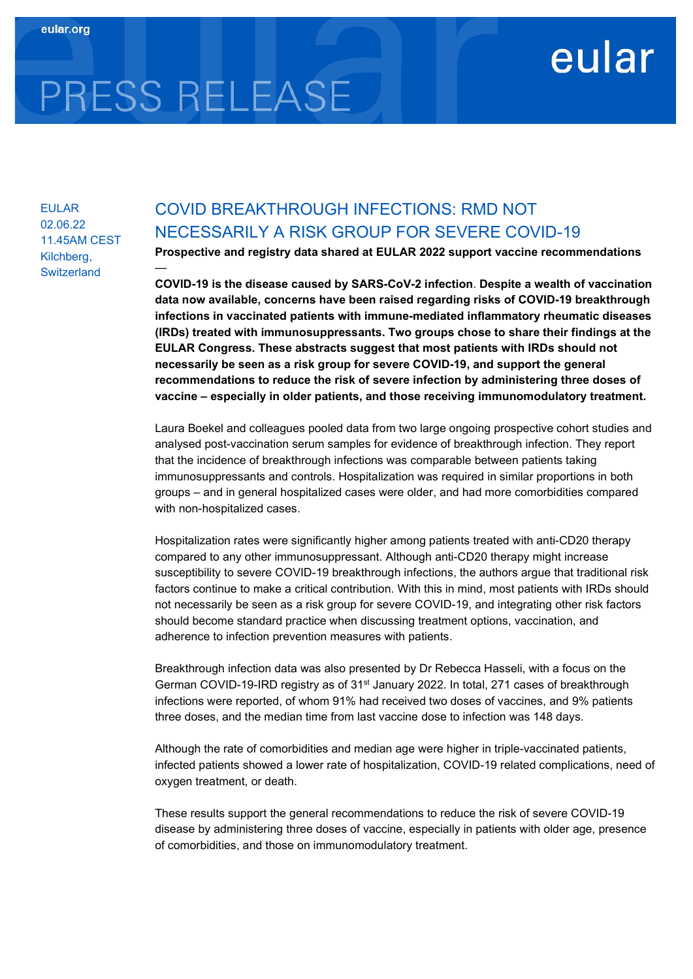## eular

# PRESS RELEASE

—

EULAR 02.06.22 11.45AM CEST Kilchberg, **Switzerland** 

### COVID BREAKTHROUGH INFECTIONS: RMD NOT NECESSARILY A RISK GROUP FOR SEVERE COVID-19

Prospective and registry data shared at EULAR 2022 support vaccine recommendations

COVID-19 is the disease caused by SARS-CoV-2 infection. Despite a wealth of vaccination data now available, concerns have been raised regarding risks of COVID-19 breakthrough infections in vaccinated patients with immune-mediated inflammatory rheumatic diseases (IRDs) treated with immunosuppressants. Two groups chose to share their findings at the EULAR Congress. These abstracts suggest that most patients with IRDs should not necessarily be seen as a risk group for severe COVID-19, and support the general recommendations to reduce the risk of severe infection by administering three doses of vaccine – especially in older patients, and those receiving immunomodulatory treatment.

Laura Boekel and colleagues pooled data from two large ongoing prospective cohort studies and analysed post-vaccination serum samples for evidence of breakthrough infection. They report that the incidence of breakthrough infections was comparable between patients taking immunosuppressants and controls. Hospitalization was required in similar proportions in both groups – and in general hospitalized cases were older, and had more comorbidities compared with non-hospitalized cases.

Hospitalization rates were significantly higher among patients treated with anti-CD20 therapy compared to any other immunosuppressant. Although anti-CD20 therapy might increase susceptibility to severe COVID-19 breakthrough infections, the authors argue that traditional risk factors continue to make a critical contribution. With this in mind, most patients with IRDs should not necessarily be seen as a risk group for severe COVID-19, and integrating other risk factors should become standard practice when discussing treatment options, vaccination, and adherence to infection prevention measures with patients.

Breakthrough infection data was also presented by Dr Rebecca Hasseli, with a focus on the German COVID-19-IRD registry as of 31st January 2022. In total, 271 cases of breakthrough infections were reported, of whom 91% had received two doses of vaccines, and 9% patients three doses, and the median time from last vaccine dose to infection was 148 days.

Although the rate of comorbidities and median age were higher in triple-vaccinated patients, infected patients showed a lower rate of hospitalization, COVID-19 related complications, need of oxygen treatment, or death.

These results support the general recommendations to reduce the risk of severe COVID-19 disease by administering three doses of vaccine, especially in patients with older age, presence of comorbidities, and those on immunomodulatory treatment.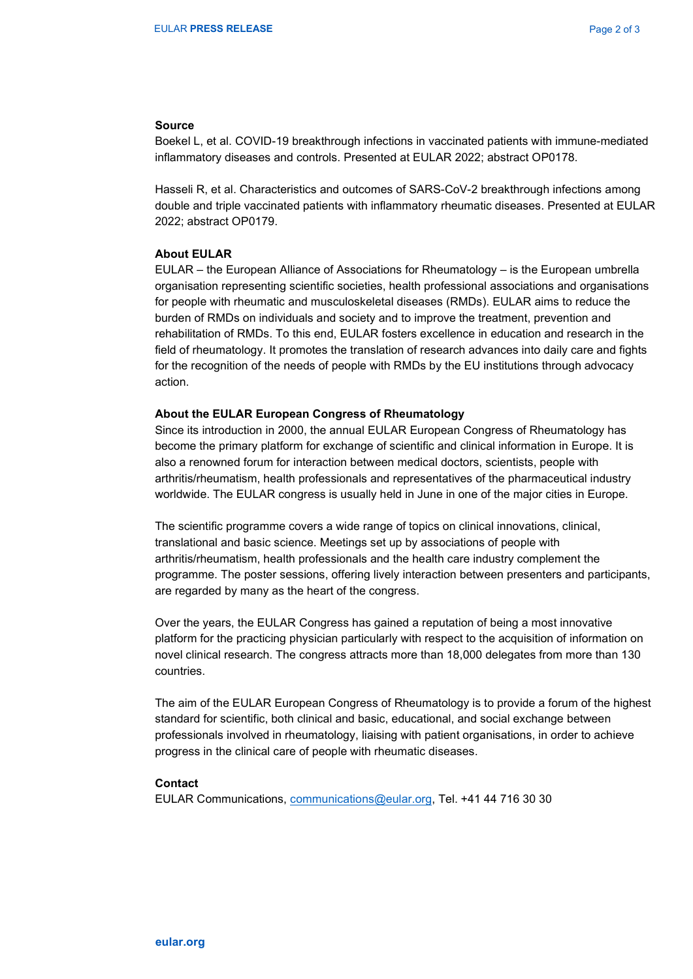#### Source

Boekel L, et al. COVID-19 breakthrough infections in vaccinated patients with immune-mediated inflammatory diseases and controls. Presented at EULAR 2022; abstract OP0178.

Hasseli R, et al. Characteristics and outcomes of SARS-CoV-2 breakthrough infections among double and triple vaccinated patients with inflammatory rheumatic diseases. Presented at EULAR 2022; abstract OP0179.

#### About EULAR

EULAR – the European Alliance of Associations for Rheumatology – is the European umbrella organisation representing scientific societies, health professional associations and organisations for people with rheumatic and musculoskeletal diseases (RMDs). EULAR aims to reduce the burden of RMDs on individuals and society and to improve the treatment, prevention and rehabilitation of RMDs. To this end, EULAR fosters excellence in education and research in the field of rheumatology. It promotes the translation of research advances into daily care and fights for the recognition of the needs of people with RMDs by the EU institutions through advocacy action.

#### About the EULAR European Congress of Rheumatology

Since its introduction in 2000, the annual EULAR European Congress of Rheumatology has become the primary platform for exchange of scientific and clinical information in Europe. It is also a renowned forum for interaction between medical doctors, scientists, people with arthritis/rheumatism, health professionals and representatives of the pharmaceutical industry worldwide. The EULAR congress is usually held in June in one of the major cities in Europe.

The scientific programme covers a wide range of topics on clinical innovations, clinical, translational and basic science. Meetings set up by associations of people with arthritis/rheumatism, health professionals and the health care industry complement the programme. The poster sessions, offering lively interaction between presenters and participants, are regarded by many as the heart of the congress.

Over the years, the EULAR Congress has gained a reputation of being a most innovative platform for the practicing physician particularly with respect to the acquisition of information on novel clinical research. The congress attracts more than 18,000 delegates from more than 130 countries.

The aim of the EULAR European Congress of Rheumatology is to provide a forum of the highest standard for scientific, both clinical and basic, educational, and social exchange between professionals involved in rheumatology, liaising with patient organisations, in order to achieve progress in the clinical care of people with rheumatic diseases.

#### **Contact**

EULAR Communications, communications@eular.org, Tel. +41 44 716 30 30